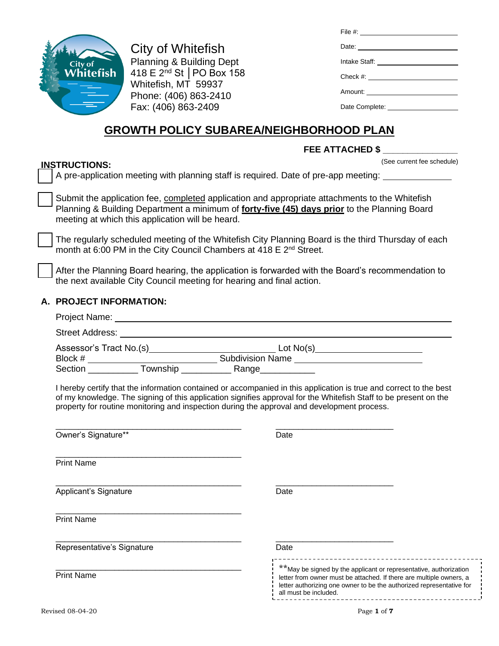| City of<br>Whitefish |
|----------------------|
|                      |
|                      |

**INSTRUCTIONS:**

City of Whitefish Planning & Building Dept 418 E 2nd St │PO Box 158 Whitefish, MT 59937 Phone: (406) 863-2410 Fax: (406) 863-2409

| File #: _________________________________ |
|-------------------------------------------|
|                                           |
|                                           |
|                                           |
| Amount: _____________________             |
| Date Complete: New York 1999              |

# **GROWTH POLICY SUBAREA/NEIGHBORHOOD PLAN**

## **FEE ATTACHED \$ \_\_\_\_\_\_\_\_\_\_\_\_\_\_\_**

(See current fee schedule)

❑ A pre-application meeting with planning staff is required. Date of pre-app meeting:

Submit the application fee, completed application and appropriate attachments to the Whitefish Planning & Building Department a minimum of **forty-five (45) days prior** to the Planning Board meeting at which this application will be heard.

The regularly scheduled meeting of the Whitefish City Planning Board is the third Thursday of each month at 6:00 PM in the City Council Chambers at 418 E 2<sup>nd</sup> Street.

After the Planning Board hearing, the application is forwarded with the Board's recommendation to the next available City Council meeting for hearing and final action.

#### **A. PROJECT INFORMATION:**

|                            | I hereby certify that the information contained or accompanied in this application is true and correct to the best<br>of my knowledge. The signing of this application signifies approval for the Whitefish Staff to be present on the<br>property for routine monitoring and inspection during the approval and development process. |
|----------------------------|---------------------------------------------------------------------------------------------------------------------------------------------------------------------------------------------------------------------------------------------------------------------------------------------------------------------------------------|
| Owner's Signature**        | Date                                                                                                                                                                                                                                                                                                                                  |
| <b>Print Name</b>          |                                                                                                                                                                                                                                                                                                                                       |
| Applicant's Signature      | Date                                                                                                                                                                                                                                                                                                                                  |
| <b>Print Name</b>          |                                                                                                                                                                                                                                                                                                                                       |
| Representative's Signature | Date                                                                                                                                                                                                                                                                                                                                  |
| <b>Print Name</b>          | **May be signed by the applicant or representative, authorization<br>letter from owner must be attached. If there are multiple owners, a<br>$\mathbf{L}$<br>letter authorizing one owner to be the authorized representative for<br>all must be included.                                                                             |
| Revised 08-04-20           | Page 1 of 7                                                                                                                                                                                                                                                                                                                           |

 $- - - -$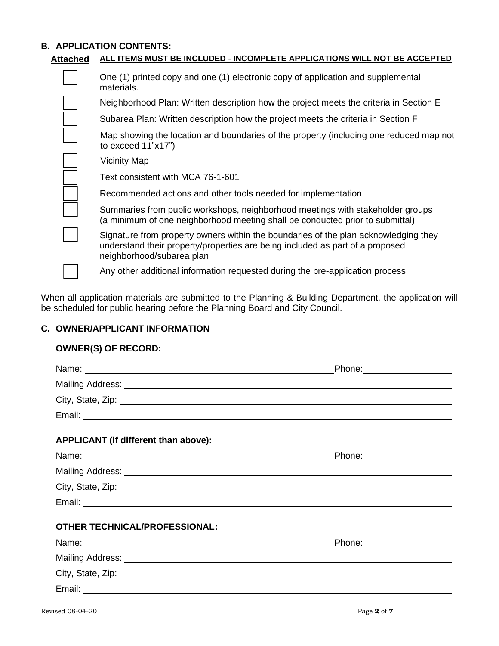# **B. APPLICATION CONTENTS:**

| Attached | ALL ITEMS MUST BE INCLUDED - INCOMPLETE APPLICATIONS WILL NOT BE ACCEPTED                                                                                                                         |  |  |
|----------|---------------------------------------------------------------------------------------------------------------------------------------------------------------------------------------------------|--|--|
|          | One (1) printed copy and one (1) electronic copy of application and supplemental<br>materials.                                                                                                    |  |  |
|          | Neighborhood Plan: Written description how the project meets the criteria in Section E                                                                                                            |  |  |
|          | Subarea Plan: Written description how the project meets the criteria in Section F                                                                                                                 |  |  |
|          | Map showing the location and boundaries of the property (including one reduced map not<br>to exceed $11"x17"$                                                                                     |  |  |
|          | <b>Vicinity Map</b>                                                                                                                                                                               |  |  |
|          | Text consistent with MCA 76-1-601                                                                                                                                                                 |  |  |
|          | Recommended actions and other tools needed for implementation                                                                                                                                     |  |  |
|          | Summaries from public workshops, neighborhood meetings with stakeholder groups<br>(a minimum of one neighborhood meeting shall be conducted prior to submittal)                                   |  |  |
|          | Signature from property owners within the boundaries of the plan acknowledging they<br>understand their property/properties are being included as part of a proposed<br>neighborhood/subarea plan |  |  |
|          | Any other additional information requested during the pre-application process                                                                                                                     |  |  |

When all application materials are submitted to the Planning & Building Department, the application will be scheduled for public hearing before the Planning Board and City Council.

# **C. OWNER/APPLICANT INFORMATION**

# **OWNER(S) OF RECORD:**

| Name: Name: Name: Name: Name: Name: Name: Name: Name: Name: Name: Name: Name: Name: Name: Name: Name: Name: Name: Name: Name: Name: Name: Name: Name: Name: Name: Name: Name: Name: Name: Name: Name: Name: Name: Name: Name:  | Phone: _______________________ |
|--------------------------------------------------------------------------------------------------------------------------------------------------------------------------------------------------------------------------------|--------------------------------|
|                                                                                                                                                                                                                                |                                |
| City, State, Zip: 2008. Experience of the City, State, 2008. The City of the City of the City of the City of the City of the City of the City of the City of the City of the City of the City of the City of the City of the C |                                |
|                                                                                                                                                                                                                                |                                |
| APPLICANT (if different than above):                                                                                                                                                                                           |                                |
| Name: Name: Name: Name: Name: Name: Name: Name: Name: Name: Name: Name: Name: Name: Name: Name: Name: Name: Name: Name: Name: Name: Name: Name: Name: Name: Name: Name: Name: Name: Name: Name: Name: Name: Name: Name: Name:  |                                |
|                                                                                                                                                                                                                                |                                |
| City, State, Zip: 2008. Experience of the State of Table 2014. The State of Table 2014. The State of Table 201                                                                                                                 |                                |
|                                                                                                                                                                                                                                |                                |
| <b>OTHER TECHNICAL/PROFESSIONAL:</b>                                                                                                                                                                                           |                                |
| Name: Name:                                                                                                                                                                                                                    | Phone: ___________________     |
|                                                                                                                                                                                                                                |                                |
| City, State, Zip: 2008. Experience of the State of Table 2008. The State of Table 2008. The State of Table 200                                                                                                                 |                                |
|                                                                                                                                                                                                                                |                                |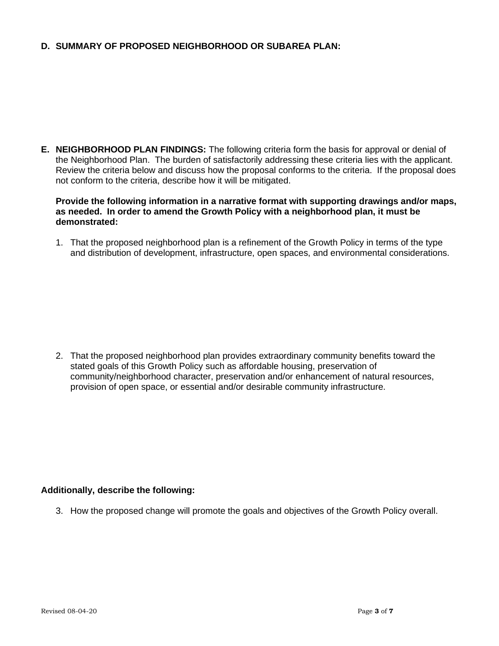### **D. SUMMARY OF PROPOSED NEIGHBORHOOD OR SUBAREA PLAN:**

**E. NEIGHBORHOOD PLAN FINDINGS:** The following criteria form the basis for approval or denial of the Neighborhood Plan. The burden of satisfactorily addressing these criteria lies with the applicant. Review the criteria below and discuss how the proposal conforms to the criteria. If the proposal does not conform to the criteria, describe how it will be mitigated.

#### **Provide the following information in a narrative format with supporting drawings and/or maps, as needed. In order to amend the Growth Policy with a neighborhood plan, it must be demonstrated:**

1. That the proposed neighborhood plan is a refinement of the Growth Policy in terms of the type and distribution of development, infrastructure, open spaces, and environmental considerations.

2. That the proposed neighborhood plan provides extraordinary community benefits toward the stated goals of this Growth Policy such as affordable housing, preservation of community/neighborhood character, preservation and/or enhancement of natural resources, provision of open space, or essential and/or desirable community infrastructure.

### **Additionally, describe the following:**

3. How the proposed change will promote the goals and objectives of the Growth Policy overall.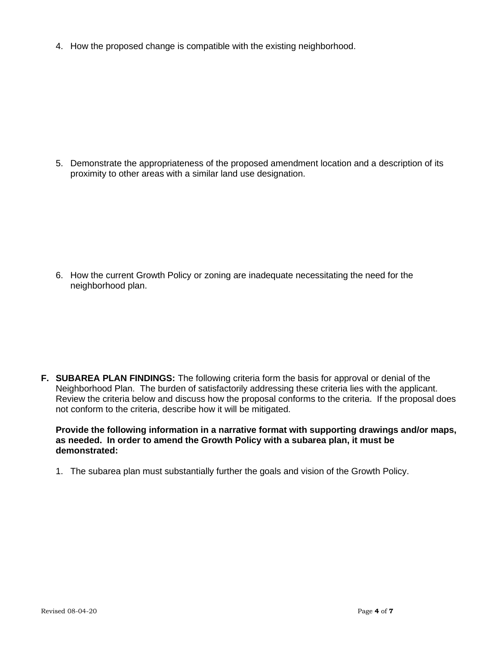4. How the proposed change is compatible with the existing neighborhood.

5. Demonstrate the appropriateness of the proposed amendment location and a description of its proximity to other areas with a similar land use designation.

6. How the current Growth Policy or zoning are inadequate necessitating the need for the neighborhood plan.

**F. SUBAREA PLAN FINDINGS:** The following criteria form the basis for approval or denial of the Neighborhood Plan. The burden of satisfactorily addressing these criteria lies with the applicant. Review the criteria below and discuss how the proposal conforms to the criteria. If the proposal does not conform to the criteria, describe how it will be mitigated.

**Provide the following information in a narrative format with supporting drawings and/or maps, as needed. In order to amend the Growth Policy with a subarea plan, it must be demonstrated:**

1. The subarea plan must substantially further the goals and vision of the Growth Policy.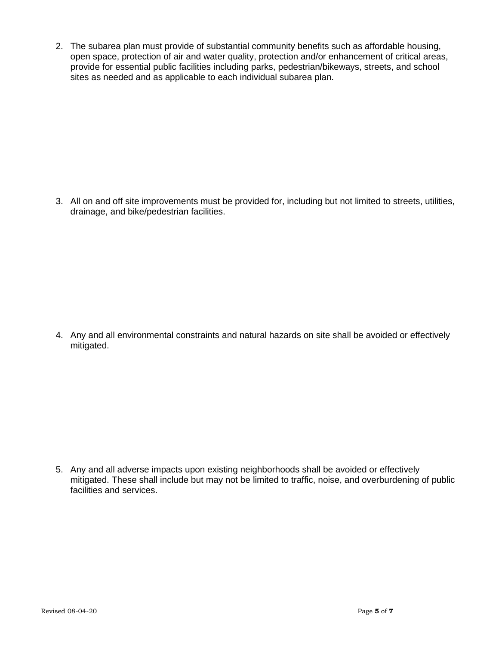2. The subarea plan must provide of substantial community benefits such as affordable housing, open space, protection of air and water quality, protection and/or enhancement of critical areas, provide for essential public facilities including parks, pedestrian/bikeways, streets, and school sites as needed and as applicable to each individual subarea plan.

3. All on and off site improvements must be provided for, including but not limited to streets, utilities, drainage, and bike/pedestrian facilities.

4. Any and all environmental constraints and natural hazards on site shall be avoided or effectively mitigated.

5. Any and all adverse impacts upon existing neighborhoods shall be avoided or effectively mitigated. These shall include but may not be limited to traffic, noise, and overburdening of public facilities and services.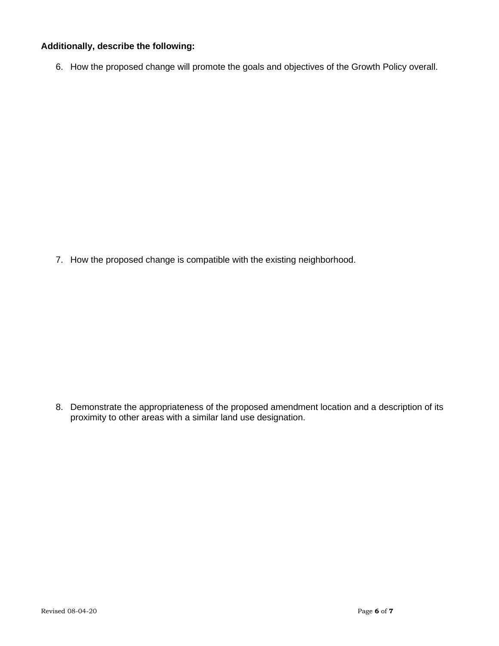### **Additionally, describe the following:**

6. How the proposed change will promote the goals and objectives of the Growth Policy overall.

7. How the proposed change is compatible with the existing neighborhood.

8. Demonstrate the appropriateness of the proposed amendment location and a description of its proximity to other areas with a similar land use designation.